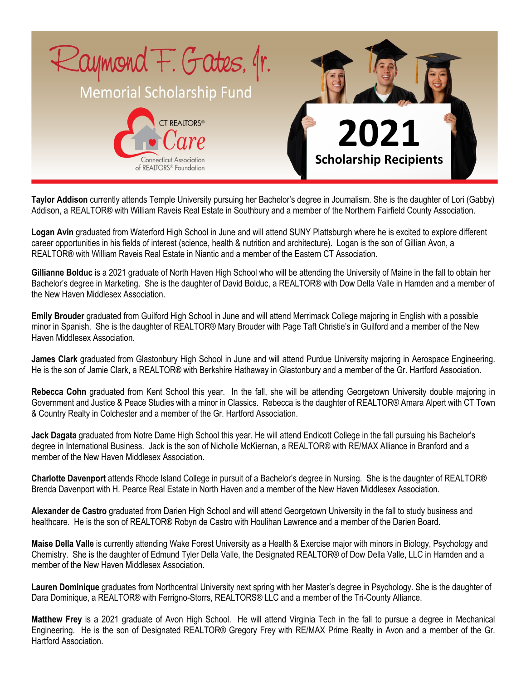

**Taylor Addison** currently attends Temple University pursuing her Bachelor's degree in Journalism. She is the daughter of Lori (Gabby) Addison, a REALTOR® with William Raveis Real Estate in Southbury and a member of the Northern Fairfield County Association.

**Logan Avin** graduated from Waterford High School in June and will attend SUNY Plattsburgh where he is excited to explore different career opportunities in his fields of interest (science, health & nutrition and architecture). Logan is the son of Gillian Avon, a REALTOR® with William Raveis Real Estate in Niantic and a member of the Eastern CT Association.

**Gillianne Bolduc** is a 2021 graduate of North Haven High School who will be attending the University of Maine in the fall to obtain her Bachelor's degree in Marketing. She is the daughter of David Bolduc, a REALTOR® with Dow Della Valle in Hamden and a member of the New Haven Middlesex Association.

**Emily Brouder** graduated from Guilford High School in June and will attend Merrimack College majoring in English with a possible minor in Spanish. She is the daughter of REALTOR® Mary Brouder with Page Taft Christie's in Guilford and a member of the New Haven Middlesex Association.

**James Clark** graduated from Glastonbury High School in June and will attend Purdue University majoring in Aerospace Engineering. He is the son of Jamie Clark, a REALTOR® with Berkshire Hathaway in Glastonbury and a member of the Gr. Hartford Association.

**Rebecca Cohn** graduated from Kent School this year. In the fall, she will be attending Georgetown University double majoring in Government and Justice & Peace Studies with a minor in Classics. Rebecca is the daughter of REALTOR® Amara Alpert with CT Town & Country Realty in Colchester and a member of the Gr. Hartford Association.

**Jack Dagata** graduated from Notre Dame High School this year. He will attend Endicott College in the fall pursuing his Bachelor's degree in International Business. Jack is the son of Nicholle McKiernan, a REALTOR® with RE/MAX Alliance in Branford and a member of the New Haven Middlesex Association.

**Charlotte Davenport** attends Rhode Island College in pursuit of a Bachelor's degree in Nursing. She is the daughter of REALTOR® Brenda Davenport with H. Pearce Real Estate in North Haven and a member of the New Haven Middlesex Association.

**Alexander de Castro** graduated from Darien High School and will attend Georgetown University in the fall to study business and healthcare. He is the son of REALTOR® Robyn de Castro with Houlihan Lawrence and a member of the Darien Board.

**Maise Della Valle** is currently attending Wake Forest University as a Health & Exercise major with minors in Biology, Psychology and Chemistry. She is the daughter of Edmund Tyler Della Valle, the Designated REALTOR® of Dow Della Valle, LLC in Hamden and a member of the New Haven Middlesex Association.

**Lauren Dominique** graduates from Northcentral University next spring with her Master's degree in Psychology. She is the daughter of Dara Dominique, a REALTOR® with Ferrigno-Storrs, REALTORS® LLC and a member of the Tri-County Alliance.

**Matthew Frey** is a 2021 graduate of Avon High School. He will attend Virginia Tech in the fall to pursue a degree in Mechanical Engineering. He is the son of Designated REALTOR® Gregory Frey with RE/MAX Prime Realty in Avon and a member of the Gr. Hartford Association.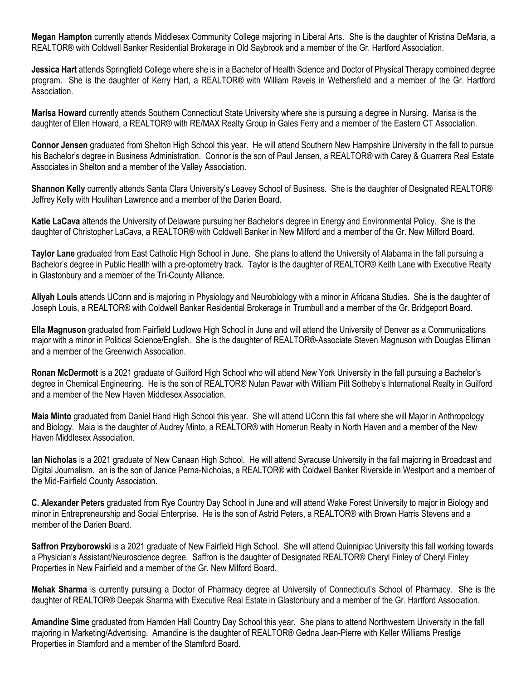**Megan Hampton** currently attends Middlesex Community College majoring in Liberal Arts. She is the daughter of Kristina DeMaria, a REALTOR® with Coldwell Banker Residential Brokerage in Old Saybrook and a member of the Gr. Hartford Association.

**Jessica Hart** attends Springfield College where she is in a Bachelor of Health Science and Doctor of Physical Therapy combined degree program. She is the daughter of Kerry Hart, a REALTOR® with William Raveis in Wethersfield and a member of the Gr. Hartford Association.

**Marisa Howard** currently attends Southern Connecticut State University where she is pursuing a degree in Nursing. Marisa is the daughter of Ellen Howard, a REALTOR® with RE/MAX Realty Group in Gales Ferry and a member of the Eastern CT Association.

**Connor Jensen** graduated from Shelton High School this year. He will attend Southern New Hampshire University in the fall to pursue his Bachelor's degree in Business Administration. Connor is the son of Paul Jensen, a REALTOR® with Carey & Guarrera Real Estate Associates in Shelton and a member of the Valley Association.

**Shannon Kelly** currently attends Santa Clara University's Leavey School of Business. She is the daughter of Designated REALTOR® Jeffrey Kelly with Houlihan Lawrence and a member of the Darien Board.

**Katie LaCava** attends the University of Delaware pursuing her Bachelor's degree in Energy and Environmental Policy. She is the daughter of Christopher LaCava, a REALTOR® with Coldwell Banker in New Milford and a member of the Gr. New Milford Board.

**Taylor Lane** graduated from East Catholic High School in June. She plans to attend the University of Alabama in the fall pursuing a Bachelor's degree in Public Health with a pre-optometry track. Taylor is the daughter of REALTOR® Keith Lane with Executive Realty in Glastonbury and a member of the Tri-County Alliance.

**Aliyah Louis** attends UConn and is majoring in Physiology and Neurobiology with a minor in Africana Studies. She is the daughter of Joseph Louis, a REALTOR® with Coldwell Banker Residential Brokerage in Trumbull and a member of the Gr. Bridgeport Board.

**Ella Magnuson** graduated from Fairfield Ludlowe High School in June and will attend the University of Denver as a Communications major with a minor in Political Science/English. She is the daughter of REALTOR®-Associate Steven Magnuson with Douglas Elliman and a member of the Greenwich Association.

**Ronan McDermott** is a 2021 graduate of Guilford High School who will attend New York University in the fall pursuing a Bachelor's degree in Chemical Engineering. He is the son of REALTOR® Nutan Pawar with William Pitt Sotheby's International Realty in Guilford and a member of the New Haven Middlesex Association.

**Maia Minto** graduated from Daniel Hand High School this year. She will attend UConn this fall where she will Major in Anthropology and Biology. Maia is the daughter of Audrey Minto, a REALTOR® with Homerun Realty in North Haven and a member of the New Haven Middlesex Association.

**Ian Nicholas** is a 2021 graduate of New Canaan High School. He will attend Syracuse University in the fall majoring in Broadcast and Digital Journalism. an is the son of Janice Perna-Nicholas, a REALTOR® with Coldwell Banker Riverside in Westport and a member of the Mid-Fairfield County Association.

**C. Alexander Peters** graduated from Rye Country Day School in June and will attend Wake Forest University to major in Biology and minor in Entrepreneurship and Social Enterprise. He is the son of Astrid Peters, a REALTOR® with Brown Harris Stevens and a member of the Darien Board.

**Saffron Przyborowski** is a 2021 graduate of New Fairfield High School. She will attend Quinnipiac University this fall working towards a Physician's Assistant/Neuroscience degree. Saffron is the daughter of Designated REALTOR® Cheryl Finley of Cheryl Finley Properties in New Fairfield and a member of the Gr. New Milford Board.

**Mehak Sharma** is currently pursuing a Doctor of Pharmacy degree at University of Connecticut's School of Pharmacy. She is the daughter of REALTOR® Deepak Sharma with Executive Real Estate in Glastonbury and a member of the Gr. Hartford Association.

**Amandine Sime** graduated from Hamden Hall Country Day School this year. She plans to attend Northwestern University in the fall majoring in Marketing/Advertising. Amandine is the daughter of REALTOR® Gedna Jean-Pierre with Keller Williams Prestige Properties in Stamford and a member of the Stamford Board.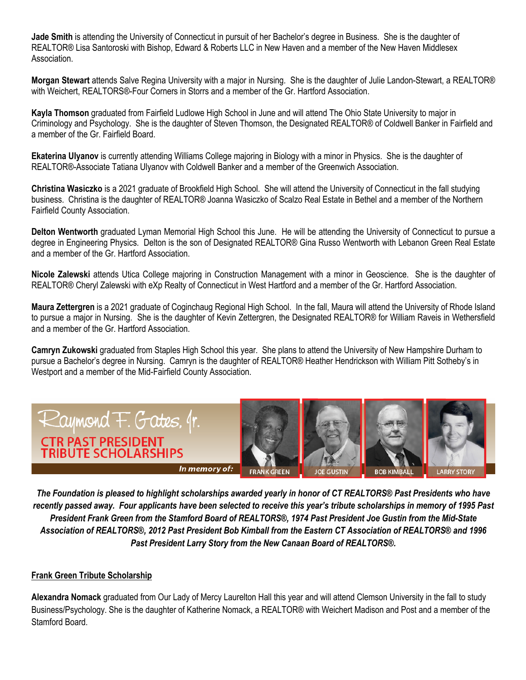**Jade Smith** is attending the University of Connecticut in pursuit of her Bachelor's degree in Business. She is the daughter of REALTOR® Lisa Santoroski with Bishop, Edward & Roberts LLC in New Haven and a member of the New Haven Middlesex Association.

**Morgan Stewart** attends Salve Regina University with a major in Nursing. She is the daughter of Julie Landon-Stewart, a REALTOR® with Weichert, REALTORS®-Four Corners in Storrs and a member of the Gr. Hartford Association.

**Kayla Thomson** graduated from Fairfield Ludlowe High School in June and will attend The Ohio State University to major in Criminology and Psychology. She is the daughter of Steven Thomson, the Designated REALTOR® of Coldwell Banker in Fairfield and a member of the Gr. Fairfield Board.

**Ekaterina Ulyanov** is currently attending Williams College majoring in Biology with a minor in Physics. She is the daughter of REALTOR®-Associate Tatiana Ulyanov with Coldwell Banker and a member of the Greenwich Association.

**Christina Wasiczko** is a 2021 graduate of Brookfield High School. She will attend the University of Connecticut in the fall studying business. Christina is the daughter of REALTOR® Joanna Wasiczko of Scalzo Real Estate in Bethel and a member of the Northern Fairfield County Association.

**Delton Wentworth** graduated Lyman Memorial High School this June. He will be attending the University of Connecticut to pursue a degree in Engineering Physics. Delton is the son of Designated REALTOR® Gina Russo Wentworth with Lebanon Green Real Estate and a member of the Gr. Hartford Association.

**Nicole Zalewski** attends Utica College majoring in Construction Management with a minor in Geoscience. She is the daughter of REALTOR® Cheryl Zalewski with eXp Realty of Connecticut in West Hartford and a member of the Gr. Hartford Association.

**Maura Zettergren** is a 2021 graduate of Coginchaug Regional High School. In the fall, Maura will attend the University of Rhode Island to pursue a major in Nursing. She is the daughter of Kevin Zettergren, the Designated REALTOR® for William Raveis in Wethersfield and a member of the Gr. Hartford Association.

**Camryn Zukowski** graduated from Staples High School this year. She plans to attend the University of New Hampshire Durham to pursue a Bachelor's degree in Nursing. Camryn is the daughter of REALTOR® Heather Hendrickson with William Pitt Sotheby's in Westport and a member of the Mid-Fairfield County Association.



*The Foundation is pleased to highlight scholarships awarded yearly in honor of CT REALTORS® Past Presidents who have recently passed away. Four applicants have been selected to receive this year's tribute scholarships in memory of 1995 Past President Frank Green from the Stamford Board of REALTORS®, 1974 Past President Joe Gustin from the Mid-State Association of REALTORS®, 2012 Past President Bob Kimball from the Eastern CT Association of REALTORS® and 1996 Past President Larry Story from the New Canaan Board of REALTORS®.*

## **Frank Green Tribute Scholarship**

**Alexandra Nomack** graduated from Our Lady of Mercy Laurelton Hall this year and will attend Clemson University in the fall to study Business/Psychology. She is the daughter of Katherine Nomack, a REALTOR® with Weichert Madison and Post and a member of the Stamford Board.